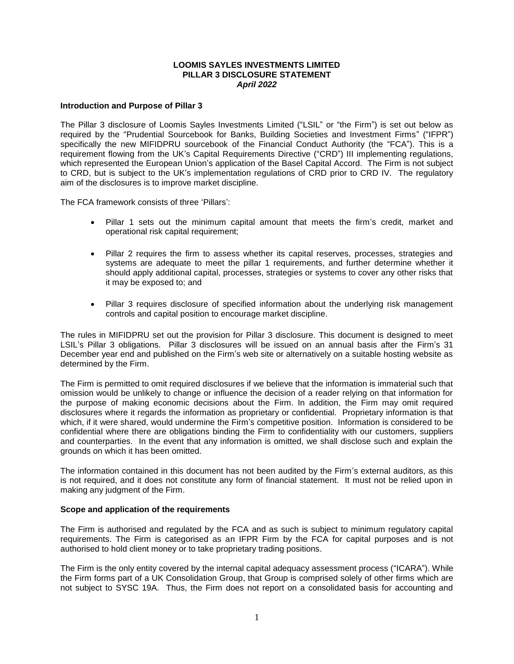### **LOOMIS SAYLES INVESTMENTS LIMITED PILLAR 3 DISCLOSURE STATEMENT** *April 2022*

### **Introduction and Purpose of Pillar 3**

The Pillar 3 disclosure of Loomis Sayles Investments Limited ("LSIL" or "the Firm") is set out below as required by the "Prudential Sourcebook for Banks, Building Societies and Investment Firms" ("IFPR") specifically the new MIFIDPRU sourcebook of the Financial Conduct Authority (the "FCA"). This is a requirement flowing from the UK's Capital Requirements Directive ("CRD") III implementing regulations, which represented the European Union's application of the Basel Capital Accord. The Firm is not subject to CRD, but is subject to the UK's implementation regulations of CRD prior to CRD IV. The regulatory aim of the disclosures is to improve market discipline.

The FCA framework consists of three 'Pillars':

- Pillar 1 sets out the minimum capital amount that meets the firm's credit, market and operational risk capital requirement;
- Pillar 2 requires the firm to assess whether its capital reserves, processes, strategies and systems are adequate to meet the pillar 1 requirements, and further determine whether it should apply additional capital, processes, strategies or systems to cover any other risks that it may be exposed to; and
- Pillar 3 requires disclosure of specified information about the underlying risk management controls and capital position to encourage market discipline.

The rules in MIFIDPRU set out the provision for Pillar 3 disclosure. This document is designed to meet LSIL's Pillar 3 obligations. Pillar 3 disclosures will be issued on an annual basis after the Firm's 31 December year end and published on the Firm's web site or alternatively on a suitable hosting website as determined by the Firm.

The Firm is permitted to omit required disclosures if we believe that the information is immaterial such that omission would be unlikely to change or influence the decision of a reader relying on that information for the purpose of making economic decisions about the Firm. In addition, the Firm may omit required disclosures where it regards the information as proprietary or confidential. Proprietary information is that which, if it were shared, would undermine the Firm's competitive position. Information is considered to be confidential where there are obligations binding the Firm to confidentiality with our customers, suppliers and counterparties. In the event that any information is omitted, we shall disclose such and explain the grounds on which it has been omitted.

The information contained in this document has not been audited by the Firm's external auditors, as this is not required, and it does not constitute any form of financial statement. It must not be relied upon in making any judgment of the Firm.

### **Scope and application of the requirements**

The Firm is authorised and regulated by the FCA and as such is subject to minimum regulatory capital requirements. The Firm is categorised as an IFPR Firm by the FCA for capital purposes and is not authorised to hold client money or to take proprietary trading positions.

The Firm is the only entity covered by the internal capital adequacy assessment process ("ICARA"). While the Firm forms part of a UK Consolidation Group, that Group is comprised solely of other firms which are not subject to SYSC 19A. Thus, the Firm does not report on a consolidated basis for accounting and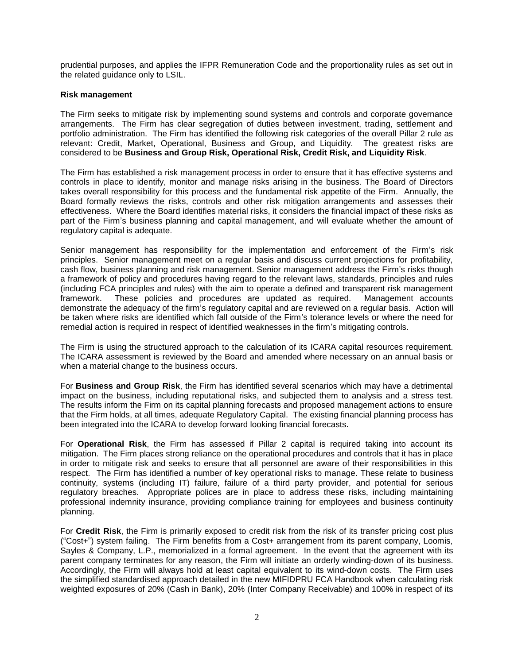prudential purposes, and applies the IFPR Remuneration Code and the proportionality rules as set out in the related guidance only to LSIL.

### **Risk management**

The Firm seeks to mitigate risk by implementing sound systems and controls and corporate governance arrangements. The Firm has clear segregation of duties between investment, trading, settlement and portfolio administration. The Firm has identified the following risk categories of the overall Pillar 2 rule as relevant: Credit, Market, Operational, Business and Group, and Liquidity. The greatest risks are considered to be **Business and Group Risk, Operational Risk, Credit Risk, and Liquidity Risk**.

The Firm has established a risk management process in order to ensure that it has effective systems and controls in place to identify, monitor and manage risks arising in the business. The Board of Directors takes overall responsibility for this process and the fundamental risk appetite of the Firm. Annually, the Board formally reviews the risks, controls and other risk mitigation arrangements and assesses their effectiveness. Where the Board identifies material risks, it considers the financial impact of these risks as part of the Firm's business planning and capital management, and will evaluate whether the amount of regulatory capital is adequate.

Senior management has responsibility for the implementation and enforcement of the Firm's risk principles. Senior management meet on a regular basis and discuss current projections for profitability, cash flow, business planning and risk management. Senior management address the Firm's risks though a framework of policy and procedures having regard to the relevant laws, standards, principles and rules (including FCA principles and rules) with the aim to operate a defined and transparent risk management framework. These policies and procedures are updated as required. Management accounts demonstrate the adequacy of the firm's regulatory capital and are reviewed on a regular basis. Action will be taken where risks are identified which fall outside of the Firm's tolerance levels or where the need for remedial action is required in respect of identified weaknesses in the firm's mitigating controls.

The Firm is using the structured approach to the calculation of its ICARA capital resources requirement. The ICARA assessment is reviewed by the Board and amended where necessary on an annual basis or when a material change to the business occurs.

For **Business and Group Risk**, the Firm has identified several scenarios which may have a detrimental impact on the business, including reputational risks, and subjected them to analysis and a stress test. The results inform the Firm on its capital planning forecasts and proposed management actions to ensure that the Firm holds, at all times, adequate Regulatory Capital. The existing financial planning process has been integrated into the ICARA to develop forward looking financial forecasts.

For **Operational Risk**, the Firm has assessed if Pillar 2 capital is required taking into account its mitigation. The Firm places strong reliance on the operational procedures and controls that it has in place in order to mitigate risk and seeks to ensure that all personnel are aware of their responsibilities in this respect. The Firm has identified a number of key operational risks to manage. These relate to business continuity, systems (including IT) failure, failure of a third party provider, and potential for serious regulatory breaches. Appropriate polices are in place to address these risks, including maintaining professional indemnity insurance, providing compliance training for employees and business continuity planning.

For **Credit Risk**, the Firm is primarily exposed to credit risk from the risk of its transfer pricing cost plus ("Cost+") system failing. The Firm benefits from a Cost+ arrangement from its parent company, Loomis, Sayles & Company, L.P., memorialized in a formal agreement. In the event that the agreement with its parent company terminates for any reason, the Firm will initiate an orderly winding-down of its business. Accordingly, the Firm will always hold at least capital equivalent to its wind-down costs. The Firm uses the simplified standardised approach detailed in the new MIFIDPRU FCA Handbook when calculating risk weighted exposures of 20% (Cash in Bank), 20% (Inter Company Receivable) and 100% in respect of its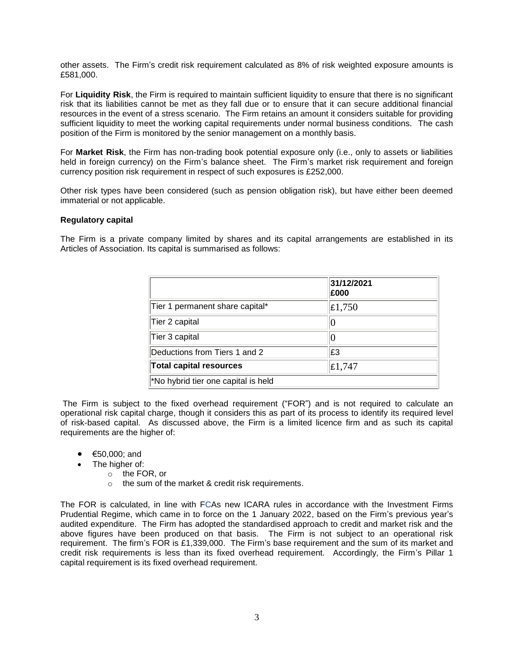other assets. The Firm's credit risk requirement calculated as 8% of risk weighted exposure amounts is £581,000.

For **Liquidity Risk**, the Firm is required to maintain sufficient liquidity to ensure that there is no significant risk that its liabilities cannot be met as they fall due or to ensure that it can secure additional financial resources in the event of a stress scenario. The Firm retains an amount it considers suitable for providing sufficient liquidity to meet the working capital requirements under normal business conditions. The cash position of the Firm is monitored by the senior management on a monthly basis.

For **Market Risk**, the Firm has non-trading book potential exposure only (i.e., only to assets or liabilities held in foreign currency) on the Firm's balance sheet. The Firm's market risk requirement and foreign currency position risk requirement in respect of such exposures is £252,000.

Other risk types have been considered (such as pension obligation risk), but have either been deemed immaterial or not applicable.

### **Regulatory capital**

The Firm is a private company limited by shares and its capital arrangements are established in its Articles of Association. Its capital is summarised as follows:

|                                     | 31/12/2021<br>£000 |
|-------------------------------------|--------------------|
| Tier 1 permanent share capital*     | $\pounds1,750$     |
| Tier 2 capital                      |                    |
| Tier 3 capital                      |                    |
| Deductions from Tiers 1 and 2       | E3                 |
| <b>Total capital resources</b>      | $\mathsf{E}1,747$  |
| *No hybrid tier one capital is held |                    |

The Firm is subject to the fixed overhead requirement ("FOR") and is not required to calculate an operational risk capital charge, though it considers this as part of its process to identify its required level of risk-based capital. As discussed above, the Firm is a limited licence firm and as such its capital requirements are the higher of:

- €50,000; and
- The higher of:
	- o the FOR, or
	- o the sum of the market & credit risk requirements.

The FOR is calculated, in line with FCAs new ICARA rules in accordance with the Investment Firms Prudential Regime, which came in to force on the 1 January 2022, based on the Firm's previous year's audited expenditure. The Firm has adopted the standardised approach to credit and market risk and the above figures have been produced on that basis. The Firm is not subject to an operational risk requirement. The firm's FOR is £1,339,000. The Firm's base requirement and the sum of its market and credit risk requirements is less than its fixed overhead requirement. Accordingly, the Firm's Pillar 1 capital requirement is its fixed overhead requirement.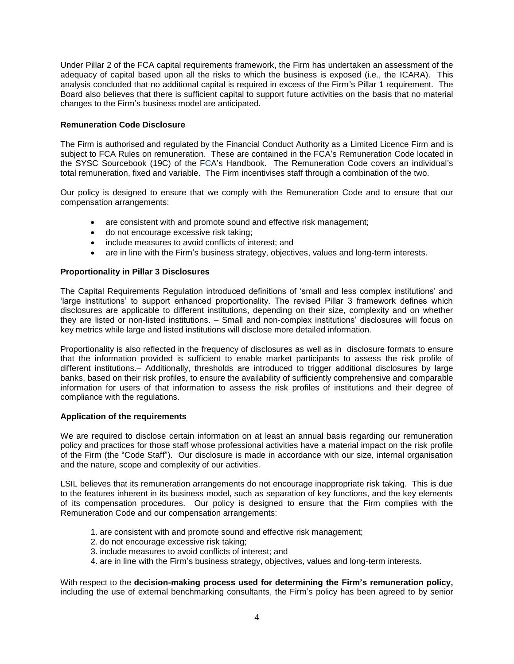Under Pillar 2 of the FCA capital requirements framework, the Firm has undertaken an assessment of the adequacy of capital based upon all the risks to which the business is exposed (i.e., the ICARA). This analysis concluded that no additional capital is required in excess of the Firm's Pillar 1 requirement. The Board also believes that there is sufficient capital to support future activities on the basis that no material changes to the Firm's business model are anticipated.

# **Remuneration Code Disclosure**

The Firm is authorised and regulated by the Financial Conduct Authority as a Limited Licence Firm and is subject to FCA Rules on remuneration. These are contained in the FCA's Remuneration Code located in the SYSC Sourcebook (19C) of the FCA's Handbook. The Remuneration Code covers an individual's total remuneration, fixed and variable. The Firm incentivises staff through a combination of the two.

Our policy is designed to ensure that we comply with the Remuneration Code and to ensure that our compensation arrangements:

- are consistent with and promote sound and effective risk management;
- do not encourage excessive risk taking;
- include measures to avoid conflicts of interest; and
- are in line with the Firm's business strategy, objectives, values and long-term interests.

# **Proportionality in Pillar 3 Disclosures**

The Capital Requirements Regulation introduced definitions of 'small and less complex institutions' and 'large institutions' to support enhanced proportionality. The revised Pillar 3 framework defines which disclosures are applicable to different institutions, depending on their size, complexity and on whether they are listed or non-listed institutions. – Small and non-complex institutions' disclosures will focus on key metrics while large and listed institutions will disclose more detailed information.

Proportionality is also reflected in the frequency of disclosures as well as in disclosure formats to ensure that the information provided is sufficient to enable market participants to assess the risk profile of different institutions.– Additionally, thresholds are introduced to trigger additional disclosures by large banks, based on their risk profiles, to ensure the availability of sufficiently comprehensive and comparable information for users of that information to assess the risk profiles of institutions and their degree of compliance with the regulations.

### **Application of the requirements**

We are required to disclose certain information on at least an annual basis regarding our remuneration policy and practices for those staff whose professional activities have a material impact on the risk profile of the Firm (the "Code Staff"). Our disclosure is made in accordance with our size, internal organisation and the nature, scope and complexity of our activities.

LSIL believes that its remuneration arrangements do not encourage inappropriate risk taking. This is due to the features inherent in its business model, such as separation of key functions, and the key elements of its compensation procedures. Our policy is designed to ensure that the Firm complies with the Remuneration Code and our compensation arrangements:

- 1. are consistent with and promote sound and effective risk management;
- 2. do not encourage excessive risk taking;
- 3. include measures to avoid conflicts of interest; and
- 4. are in line with the Firm's business strategy, objectives, values and long-term interests.

With respect to the **decision-making process used for determining the Firm's remuneration policy,** including the use of external benchmarking consultants, the Firm's policy has been agreed to by senior